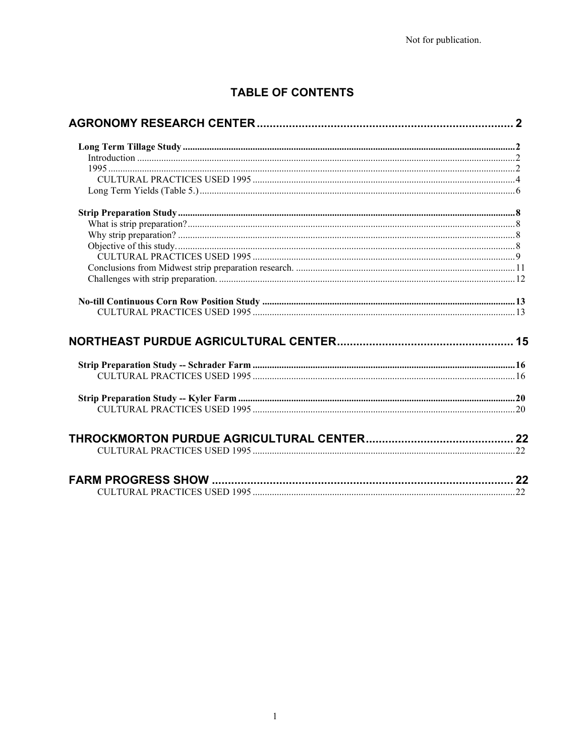# TABLE OF CONTENTS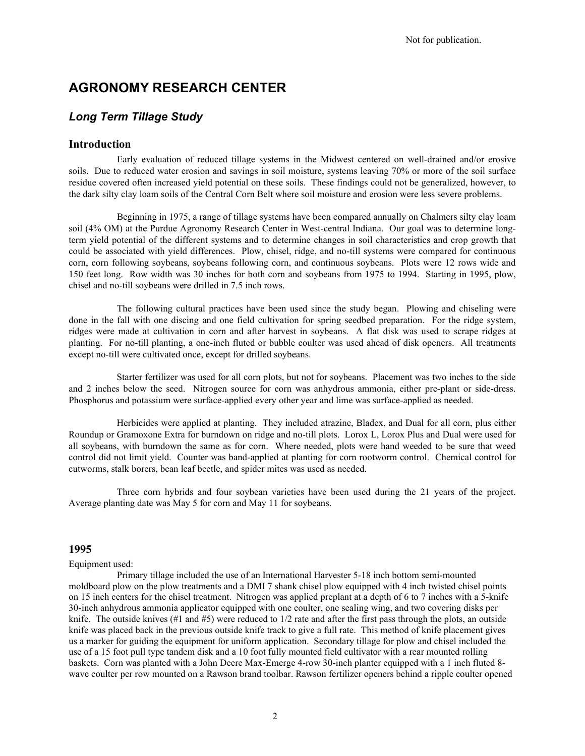# **AGRONOMY RESEARCH CENTER**

## *Long Term Tillage Study*

### **Introduction**

Early evaluation of reduced tillage systems in the Midwest centered on well-drained and/or erosive soils. Due to reduced water erosion and savings in soil moisture, systems leaving 70% or more of the soil surface residue covered often increased yield potential on these soils. These findings could not be generalized, however, to the dark silty clay loam soils of the Central Corn Belt where soil moisture and erosion were less severe problems.

Beginning in 1975, a range of tillage systems have been compared annually on Chalmers silty clay loam soil (4% OM) at the Purdue Agronomy Research Center in West-central Indiana. Our goal was to determine longterm yield potential of the different systems and to determine changes in soil characteristics and crop growth that could be associated with yield differences. Plow, chisel, ridge, and no-till systems were compared for continuous corn, corn following soybeans, soybeans following corn, and continuous soybeans. Plots were 12 rows wide and 150 feet long. Row width was 30 inches for both corn and soybeans from 1975 to 1994. Starting in 1995, plow, chisel and no-till soybeans were drilled in 7.5 inch rows.

The following cultural practices have been used since the study began. Plowing and chiseling were done in the fall with one discing and one field cultivation for spring seedbed preparation. For the ridge system, ridges were made at cultivation in corn and after harvest in soybeans. A flat disk was used to scrape ridges at planting. For no-till planting, a one-inch fluted or bubble coulter was used ahead of disk openers. All treatments except no-till were cultivated once, except for drilled soybeans.

Starter fertilizer was used for all corn plots, but not for soybeans. Placement was two inches to the side and 2 inches below the seed. Nitrogen source for corn was anhydrous ammonia, either pre-plant or side-dress. Phosphorus and potassium were surface-applied every other year and lime was surface-applied as needed.

Herbicides were applied at planting. They included atrazine, Bladex, and Dual for all corn, plus either Roundup or Gramoxone Extra for burndown on ridge and no-till plots. Lorox L, Lorox Plus and Dual were used for all soybeans, with burndown the same as for corn. Where needed, plots were hand weeded to be sure that weed control did not limit yield. Counter was band-applied at planting for corn rootworm control. Chemical control for cutworms, stalk borers, bean leaf beetle, and spider mites was used as needed.

Three corn hybrids and four soybean varieties have been used during the 21 years of the project. Average planting date was May 5 for corn and May 11 for soybeans.

### **1995**

#### Equipment used:

Primary tillage included the use of an International Harvester 5-18 inch bottom semi-mounted moldboard plow on the plow treatments and a DMI 7 shank chisel plow equipped with 4 inch twisted chisel points on 15 inch centers for the chisel treatment. Nitrogen was applied preplant at a depth of 6 to 7 inches with a 5-knife 30-inch anhydrous ammonia applicator equipped with one coulter, one sealing wing, and two covering disks per knife. The outside knives (#1 and #5) were reduced to 1/2 rate and after the first pass through the plots, an outside knife was placed back in the previous outside knife track to give a full rate. This method of knife placement gives us a marker for guiding the equipment for uniform application. Secondary tillage for plow and chisel included the use of a 15 foot pull type tandem disk and a 10 foot fully mounted field cultivator with a rear mounted rolling baskets. Corn was planted with a John Deere Max-Emerge 4-row 30-inch planter equipped with a 1 inch fluted 8 wave coulter per row mounted on a Rawson brand toolbar. Rawson fertilizer openers behind a ripple coulter opened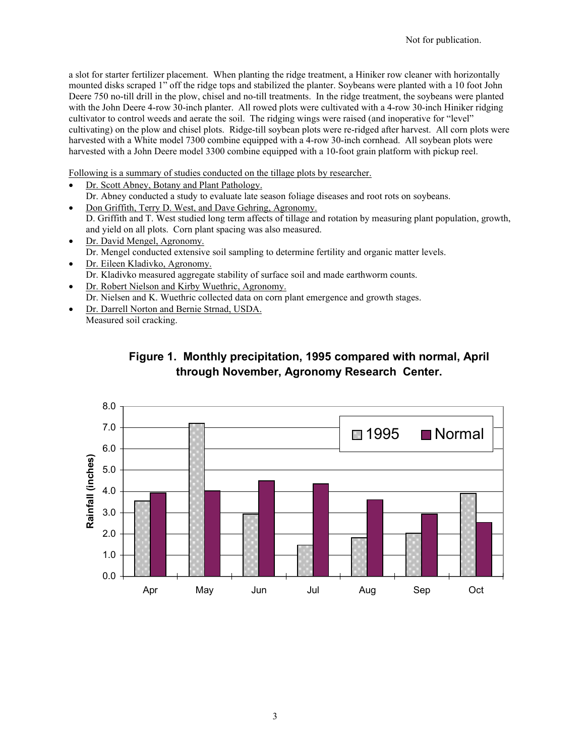a slot for starter fertilizer placement. When planting the ridge treatment, a Hiniker row cleaner with horizontally mounted disks scraped 1" off the ridge tops and stabilized the planter. Soybeans were planted with a 10 foot John Deere 750 no-till drill in the plow, chisel and no-till treatments. In the ridge treatment, the soybeans were planted with the John Deere 4-row 30-inch planter. All rowed plots were cultivated with a 4-row 30-inch Hiniker ridging cultivator to control weeds and aerate the soil. The ridging wings were raised (and inoperative for "level" cultivating) on the plow and chisel plots. Ridge-till soybean plots were re-ridged after harvest. All corn plots were harvested with a White model 7300 combine equipped with a 4-row 30-inch cornhead. All soybean plots were harvested with a John Deere model 3300 combine equipped with a 10-foot grain platform with pickup reel.

Following is a summary of studies conducted on the tillage plots by researcher.

- Dr. Scott Abney, Botany and Plant Pathology. Dr. Abney conducted a study to evaluate late season foliage diseases and root rots on soybeans.
- Don Griffith, Terry D. West, and Dave Gehring, Agronomy. D. Griffith and T. West studied long term affects of tillage and rotation by measuring plant population, growth, and yield on all plots. Corn plant spacing was also measured.
- Dr. David Mengel, Agronomy. Dr. Mengel conducted extensive soil sampling to determine fertility and organic matter levels.
- Dr. Eileen Kladivko, Agronomy. Dr. Kladivko measured aggregate stability of surface soil and made earthworm counts.
- Dr. Robert Nielson and Kirby Wuethric, Agronomy. Dr. Nielsen and K. Wuethric collected data on corn plant emergence and growth stages.
- Dr. Darrell Norton and Bernie Strnad, USDA.

Measured soil cracking.



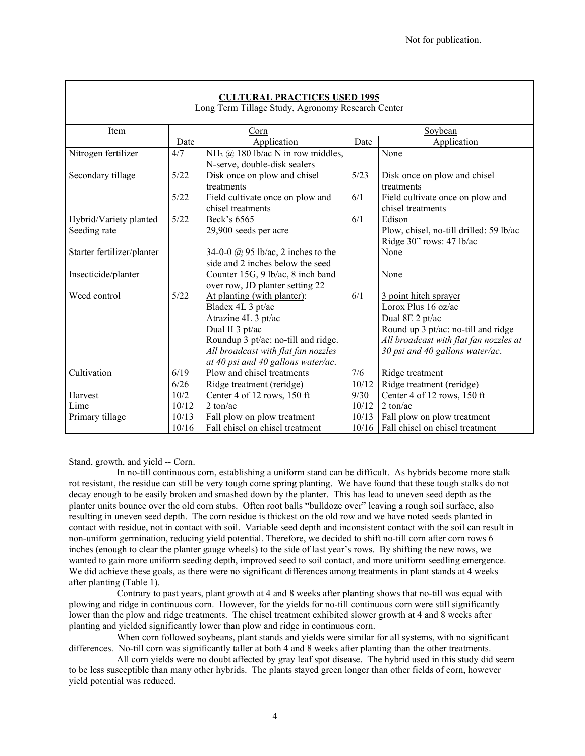| <b>CULTURAL PRACTICES USED 1995</b><br>Long Term Tillage Study, Agronomy Research Center |        |                                               |       |                                         |  |  |
|------------------------------------------------------------------------------------------|--------|-----------------------------------------------|-------|-----------------------------------------|--|--|
| Item                                                                                     |        | Corn                                          |       | Soybean                                 |  |  |
|                                                                                          | Date   | Application                                   | Date  | Application                             |  |  |
| Nitrogen fertilizer                                                                      | 4/7    | NH <sub>3</sub> @ 180 lb/ac N in row middles, |       | None                                    |  |  |
|                                                                                          |        | N-serve, double-disk sealers                  |       |                                         |  |  |
| Secondary tillage                                                                        | 5/22   | Disk once on plow and chisel                  | 5/23  | Disk once on plow and chisel            |  |  |
|                                                                                          |        | treatments                                    |       | treatments                              |  |  |
|                                                                                          | $5/22$ | Field cultivate once on plow and              | 6/1   | Field cultivate once on plow and        |  |  |
|                                                                                          |        | chisel treatments                             |       | chisel treatments                       |  |  |
| Hybrid/Variety planted                                                                   | 5/22   | Beck's 6565                                   | 6/1   | Edison                                  |  |  |
| Seeding rate                                                                             |        | 29,900 seeds per acre                         |       | Plow, chisel, no-till drilled: 59 lb/ac |  |  |
|                                                                                          |        |                                               |       | Ridge 30" rows: 47 lb/ac                |  |  |
| Starter fertilizer/planter                                                               |        | 34-0-0 $\omega$ 95 lb/ac, 2 inches to the     |       | None                                    |  |  |
|                                                                                          |        | side and 2 inches below the seed              |       |                                         |  |  |
| Insecticide/planter                                                                      |        | Counter 15G, 9 lb/ac, 8 inch band             |       | None                                    |  |  |
|                                                                                          |        | over row, JD planter setting 22               |       |                                         |  |  |
| Weed control                                                                             | 5/22   | At planting (with planter):                   | 6/1   | 3 point hitch sprayer                   |  |  |
|                                                                                          |        | Bladex 4L 3 pt/ac                             |       | Lorox Plus $16$ oz/ac                   |  |  |
|                                                                                          |        | Atrazine 4L 3 pt/ac                           |       | Dual 8E 2 pt/ac                         |  |  |
|                                                                                          |        | Dual II 3 pt/ac                               |       | Round up 3 pt/ac: no-till and ridge     |  |  |
|                                                                                          |        | Roundup 3 pt/ac: no-till and ridge.           |       | All broadcast with flat fan nozzles at  |  |  |
|                                                                                          |        | All broadcast with flat fan nozzles           |       | 30 psi and 40 gallons water/ac.         |  |  |
|                                                                                          |        | at 40 psi and 40 gallons water/ac.            |       |                                         |  |  |
| Cultivation                                                                              | 6/19   | Plow and chisel treatments                    | 7/6   | Ridge treatment                         |  |  |
|                                                                                          | 6/26   | Ridge treatment (reridge)                     | 10/12 | Ridge treatment (reridge)               |  |  |
| Harvest                                                                                  | 10/2   | Center 4 of 12 rows, 150 ft                   | 9/30  | Center 4 of 12 rows, 150 ft             |  |  |
| Lime                                                                                     | 10/12  | 2 ton/ac                                      | 10/12 | 2 ton/ac                                |  |  |
| Primary tillage                                                                          | 10/13  | Fall plow on plow treatment                   | 10/13 | Fall plow on plow treatment             |  |  |
|                                                                                          | 10/16  | Fall chisel on chisel treatment               | 10/16 | Fall chisel on chisel treatment         |  |  |

### Stand, growth, and yield -- Corn.

In no-till continuous corn, establishing a uniform stand can be difficult. As hybrids become more stalk rot resistant, the residue can still be very tough come spring planting. We have found that these tough stalks do not decay enough to be easily broken and smashed down by the planter. This has lead to uneven seed depth as the planter units bounce over the old corn stubs. Often root balls "bulldoze over" leaving a rough soil surface, also resulting in uneven seed depth. The corn residue is thickest on the old row and we have noted seeds planted in contact with residue, not in contact with soil. Variable seed depth and inconsistent contact with the soil can result in non-uniform germination, reducing yield potential. Therefore, we decided to shift no-till corn after corn rows 6 inches (enough to clear the planter gauge wheels) to the side of last year's rows. By shifting the new rows, we wanted to gain more uniform seeding depth, improved seed to soil contact, and more uniform seedling emergence. We did achieve these goals, as there were no significant differences among treatments in plant stands at 4 weeks after planting (Table 1).

Contrary to past years, plant growth at 4 and 8 weeks after planting shows that no-till was equal with plowing and ridge in continuous corn. However, for the yields for no-till continuous corn were still significantly lower than the plow and ridge treatments. The chisel treatment exhibited slower growth at 4 and 8 weeks after planting and yielded significantly lower than plow and ridge in continuous corn.

When corn followed soybeans, plant stands and yields were similar for all systems, with no significant differences. No-till corn was significantly taller at both 4 and 8 weeks after planting than the other treatments.

All corn yields were no doubt affected by gray leaf spot disease. The hybrid used in this study did seem to be less susceptible than many other hybrids. The plants stayed green longer than other fields of corn, however yield potential was reduced.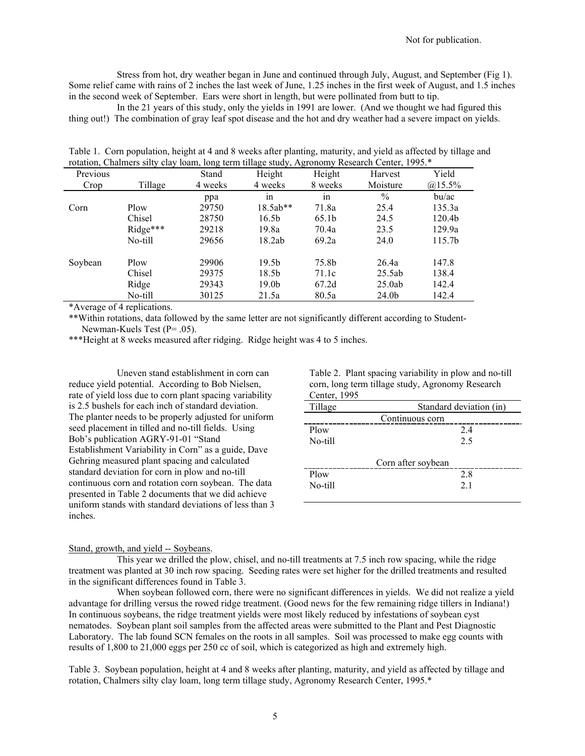Stress from hot, dry weather began in June and continued through July, August, and September (Fig 1). Some relief came with rains of 2 inches the last week of June, 1.25 inches in the first week of August, and 1.5 inches in the second week of September. Ears were short in length, but were pollinated from butt to tip.

In the 21 years of this study, only the yields in 1991 are lower. (And we thought we had figured this thing out!) The combination of gray leaf spot disease and the hot and dry weather had a severe impact on yields.

|          | rotation, Chaimers sifty clay foam, long term tillage study, Agronomy Research Center, 1995. |         |                   |         |               |                    |  |  |
|----------|----------------------------------------------------------------------------------------------|---------|-------------------|---------|---------------|--------------------|--|--|
| Previous |                                                                                              | Stand   | Height            | Height  | Harvest       | Yield              |  |  |
| Crop     | Tillage                                                                                      | 4 weeks | 4 weeks           | 8 weeks | Moisture      | $@15.5\%$          |  |  |
|          |                                                                                              | ppa     | 1n                | 1n      | $\frac{0}{0}$ | bu/ac              |  |  |
| Corn     | Plow                                                                                         | 29750   | $18.5ab**$        | 71.8a   | 25.4          | 135.3a             |  |  |
|          | Chisel                                                                                       | 28750   | 16.5 <sub>b</sub> | 65.1b   | 24.5          | 120.4 <sub>b</sub> |  |  |
|          | Ridge***                                                                                     | 29218   | 19.8a             | 70.4a   | 23.5          | 129.9a             |  |  |
|          | No-till                                                                                      | 29656   | 18.2ab            | 69.2a   | 24.0          | 115.7b             |  |  |
| Soybean  | Plow                                                                                         | 29906   | 19.5 <sub>b</sub> | 75.8b   | 26.4a         | 147.8              |  |  |
|          | Chisel                                                                                       | 29375   | 18.5b             | 71.1c   | 25.5ab        | 138.4              |  |  |
|          | Ridge                                                                                        | 29343   | 19.0 <sub>b</sub> | 67.2d   | 25.0ab        | 142.4              |  |  |
|          | No-till                                                                                      | 30125   | 21.5a             | 80.5a   | 24.0b         | 142.4              |  |  |

Table 1. Corn population, height at 4 and 8 weeks after planting, maturity, and yield as affected by tillage and rotation. Chalmers silty clay loam, long term tillage study. Agronomy Research Center, 1995 \* rotation, Chalmers silty clay loam, long term tillage study, Agronomy Research Center, 1995.\*

\*Average of 4 replications.

\*\*Within rotations, data followed by the same letter are not significantly different according to Student-Newman-Kuels Test (P= .05).

\*\*\*Height at 8 weeks measured after ridging. Ridge height was 4 to 5 inches.

Uneven stand establishment in corn can reduce yield potential. According to Bob Nielsen, rate of yield loss due to corn plant spacing variability is 2.5 bushels for each inch of standard deviation. The planter needs to be properly adjusted for uniform seed placement in tilled and no-till fields. Using Bob's publication AGRY-91-01 "Stand Establishment Variability in Corn" as a guide, Dave Gehring measured plant spacing and calculated standard deviation for corn in plow and no-till continuous corn and rotation corn soybean. The data presented in Table 2 documents that we did achieve uniform stands with standard deviations of less than 3 inches.

Table 2. Plant spacing variability in plow and no-till corn, long term tillage study, Agronomy Research  $C_{\text{entor}}$ , 1995

| Center, $1993$ |                         |
|----------------|-------------------------|
| Tillage        | Standard deviation (in) |
|                | Continuous corn         |
| Plow           | 2.4                     |
| No-till        | 2.5                     |
|                | Corn after soybean      |
| Plow           | 2.8                     |
| No-till        | 2.1                     |
|                |                         |

#### Stand, growth, and yield -- Soybeans.

This year we drilled the plow, chisel, and no-till treatments at 7.5 inch row spacing, while the ridge treatment was planted at 30 inch row spacing. Seeding rates were set higher for the drilled treatments and resulted in the significant differences found in Table 3.

When soybean followed corn, there were no significant differences in yields. We did not realize a yield advantage for drilling versus the rowed ridge treatment. (Good news for the few remaining ridge tillers in Indiana!) In continuous soybeans, the ridge treatment yields were most likely reduced by infestations of soybean cyst nematodes. Soybean plant soil samples from the affected areas were submitted to the Plant and Pest Diagnostic Laboratory. The lab found SCN females on the roots in all samples. Soil was processed to make egg counts with results of 1,800 to 21,000 eggs per 250 cc of soil, which is categorized as high and extremely high.

Table 3. Soybean population, height at 4 and 8 weeks after planting, maturity, and yield as affected by tillage and rotation, Chalmers silty clay loam, long term tillage study, Agronomy Research Center, 1995.\*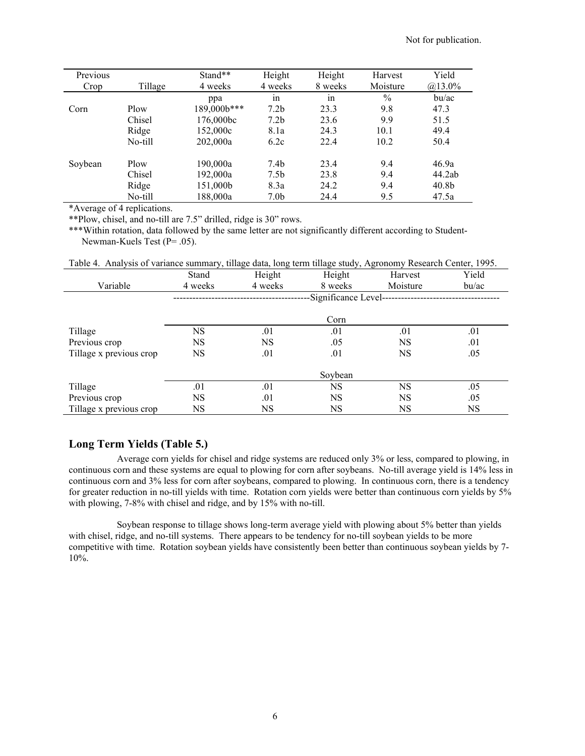| Previous |         | Stand**     | Height           | Height  | Harvest  | Yield             |
|----------|---------|-------------|------------------|---------|----------|-------------------|
| Crop     | Tillage | 4 weeks     | 4 weeks          | 8 weeks | Moisture | $@13.0\%$         |
|          |         | ppa         | ٠<br>1n          | 1n      | $\%$     | bu/ac             |
| Corn     | Plow    | 189,000b*** | 7.2 <sub>b</sub> | 23.3    | 9.8      | 47.3              |
|          | Chisel  | 176,000bc   | 7.2 <sub>b</sub> | 23.6    | 9.9      | 51.5              |
|          | Ridge   | 152,000c    | 8.1a             | 24.3    | 10.1     | 49.4              |
|          | No-till | 202,000a    | 6.2c             | 22.4    | 10.2     | 50.4              |
| Soybean  | Plow    | 190,000a    | 7.4 <sub>b</sub> | 23.4    | 9.4      | 46.9a             |
|          | Chisel  | 192,000a    | 7.5 <sub>b</sub> | 23.8    | 9.4      | 44.2ab            |
|          | Ridge   | 151,000b    | 8.3a             | 24.2    | 9.4      | 40.8 <sub>b</sub> |
|          | No-till | 188,000a    | 7.0 <sub>b</sub> | 24.4    | 9.5      | 47.5a             |

\*Average of 4 replications.

\*\*Plow, chisel, and no-till are 7.5" drilled, ridge is 30" rows.

\*\*\*Within rotation, data followed by the same letter are not significantly different according to Student-Newman-Kuels Test (P= .05).

Table 4. Analysis of variance summary, tillage data, long term tillage study, Agronomy Research Center, 1995.

|                         | Stand   | Height  | Height                | Harvest   | Yield |
|-------------------------|---------|---------|-----------------------|-----------|-------|
| Variable                | 4 weeks | 4 weeks | 8 weeks               | Moisture  | bu/ac |
|                         |         |         | -Significance Level-- |           |       |
|                         |         |         |                       |           |       |
|                         |         |         | Corn                  |           |       |
| Tillage                 | NS      | .01     | .01                   | .01       | .01   |
| Previous crop           | NS      | NS      | .05                   | <b>NS</b> | .01   |
| Tillage x previous crop | NS      | .01     | .01                   | <b>NS</b> | .05   |
|                         |         |         |                       |           |       |
|                         |         |         | Soybean               |           |       |
| Tillage                 | .01     | .01     | <b>NS</b>             | <b>NS</b> | .05   |
| Previous crop           | NS      | .01     | <b>NS</b>             | <b>NS</b> | .05   |
| Tillage x previous crop | NS      | NS      | NS                    | <b>NS</b> | NS    |

## **Long Term Yields (Table 5.)**

Average corn yields for chisel and ridge systems are reduced only 3% or less, compared to plowing, in continuous corn and these systems are equal to plowing for corn after soybeans. No-till average yield is 14% less in continuous corn and 3% less for corn after soybeans, compared to plowing. In continuous corn, there is a tendency for greater reduction in no-till yields with time. Rotation corn yields were better than continuous corn yields by 5% with plowing, 7-8% with chisel and ridge, and by 15% with no-till.

Soybean response to tillage shows long-term average yield with plowing about 5% better than yields with chisel, ridge, and no-till systems. There appears to be tendency for no-till soybean yields to be more competitive with time. Rotation soybean yields have consistently been better than continuous soybean yields by 7- 10%.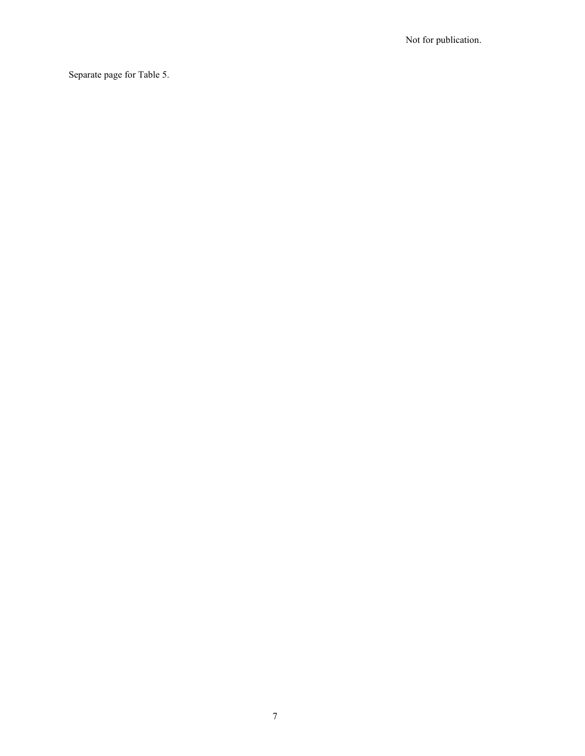Separate page for Table 5.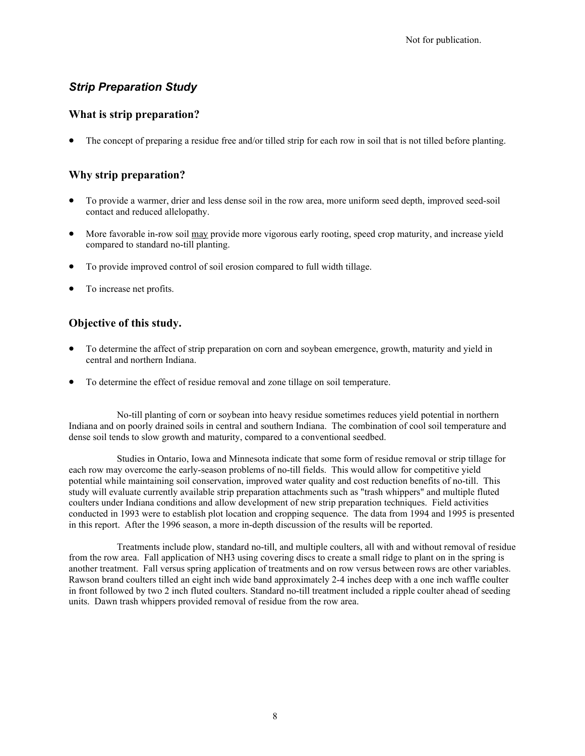# *Strip Preparation Study*

## **What is strip preparation?**

• The concept of preparing a residue free and/or tilled strip for each row in soil that is not tilled before planting.

## **Why strip preparation?**

- To provide a warmer, drier and less dense soil in the row area, more uniform seed depth, improved seed-soil contact and reduced allelopathy.
- More favorable in-row soil may provide more vigorous early rooting, speed crop maturity, and increase yield compared to standard no-till planting.
- To provide improved control of soil erosion compared to full width tillage.
- To increase net profits.

## **Objective of this study.**

- To determine the affect of strip preparation on corn and soybean emergence, growth, maturity and yield in central and northern Indiana.
- To determine the effect of residue removal and zone tillage on soil temperature.

No-till planting of corn or soybean into heavy residue sometimes reduces yield potential in northern Indiana and on poorly drained soils in central and southern Indiana. The combination of cool soil temperature and dense soil tends to slow growth and maturity, compared to a conventional seedbed.

Studies in Ontario, Iowa and Minnesota indicate that some form of residue removal or strip tillage for each row may overcome the early-season problems of no-till fields. This would allow for competitive yield potential while maintaining soil conservation, improved water quality and cost reduction benefits of no-till. This study will evaluate currently available strip preparation attachments such as "trash whippers" and multiple fluted coulters under Indiana conditions and allow development of new strip preparation techniques. Field activities conducted in 1993 were to establish plot location and cropping sequence. The data from 1994 and 1995 is presented in this report. After the 1996 season, a more in-depth discussion of the results will be reported.

Treatments include plow, standard no-till, and multiple coulters, all with and without removal of residue from the row area. Fall application of NH3 using covering discs to create a small ridge to plant on in the spring is another treatment. Fall versus spring application of treatments and on row versus between rows are other variables. Rawson brand coulters tilled an eight inch wide band approximately 2-4 inches deep with a one inch waffle coulter in front followed by two 2 inch fluted coulters. Standard no-till treatment included a ripple coulter ahead of seeding units. Dawn trash whippers provided removal of residue from the row area.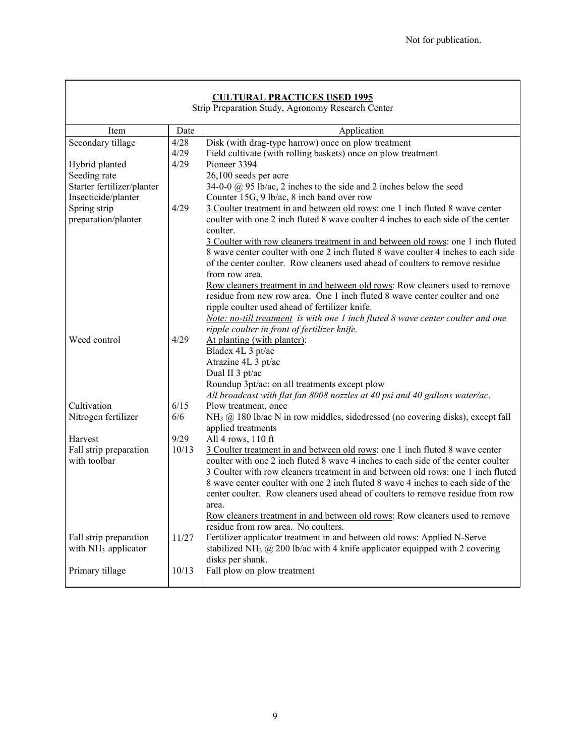## **CULTURAL PRACTICES USED 1995**

Strip Preparation Study, Agronomy Research Center

| Item                            | Date  | Application                                                                                                                  |
|---------------------------------|-------|------------------------------------------------------------------------------------------------------------------------------|
| Secondary tillage               | 4/28  | Disk (with drag-type harrow) once on plow treatment                                                                          |
|                                 | 4/29  | Field cultivate (with rolling baskets) once on plow treatment                                                                |
| Hybrid planted                  | 4/29  | Pioneer 3394                                                                                                                 |
| Seeding rate                    |       | 26,100 seeds per acre                                                                                                        |
| Starter fertilizer/planter      |       | 34-0-0 $\omega$ 95 lb/ac, 2 inches to the side and 2 inches below the seed                                                   |
| Insecticide/planter             |       | Counter 15G, 9 lb/ac, 8 inch band over row                                                                                   |
| Spring strip                    | 4/29  | 3 Coulter treatment in and between old rows: one 1 inch fluted 8 wave center                                                 |
| preparation/planter             |       | coulter with one 2 inch fluted 8 wave coulter 4 inches to each side of the center<br>coulter.                                |
|                                 |       | 3 Coulter with row cleaners treatment in and between old rows: one 1 inch fluted                                             |
|                                 |       | 8 wave center coulter with one 2 inch fluted 8 wave coulter 4 inches to each side                                            |
|                                 |       | of the center coulter. Row cleaners used ahead of coulters to remove residue                                                 |
|                                 |       | from row area.                                                                                                               |
|                                 |       | Row cleaners treatment in and between old rows: Row cleaners used to remove                                                  |
|                                 |       | residue from new row area. One 1 inch fluted 8 wave center coulter and one                                                   |
|                                 |       | ripple coulter used ahead of fertilizer knife.                                                                               |
|                                 |       | Note: no-till treatment is with one 1 inch fluted 8 wave center coulter and one                                              |
|                                 |       | ripple coulter in front of fertilizer knife.                                                                                 |
| Weed control                    | 4/29  | At planting (with planter):                                                                                                  |
|                                 |       | Bladex 4L 3 pt/ac                                                                                                            |
|                                 |       | Atrazine 4L 3 pt/ac                                                                                                          |
|                                 |       | Dual II 3 pt/ac                                                                                                              |
|                                 |       | Roundup 3pt/ac: on all treatments except plow<br>All broadcast with flat fan 8008 nozzles at 40 psi and 40 gallons water/ac. |
| Cultivation                     | 6/15  | Plow treatment, once                                                                                                         |
| Nitrogen fertilizer             | 6/6   | $NH3$ ( $\omega$ ) 180 lb/ac N in row middles, sidedressed (no covering disks), except fall                                  |
|                                 |       | applied treatments                                                                                                           |
| Harvest                         | 9/29  | All 4 rows, 110 ft                                                                                                           |
| Fall strip preparation          | 10/13 | 3 Coulter treatment in and between old rows: one 1 inch fluted 8 wave center                                                 |
| with toolbar                    |       | coulter with one 2 inch fluted 8 wave 4 inches to each side of the center coulter                                            |
|                                 |       | 3 Coulter with row cleaners treatment in and between old rows: one 1 inch fluted                                             |
|                                 |       | 8 wave center coulter with one 2 inch fluted 8 wave 4 inches to each side of the                                             |
|                                 |       | center coulter. Row cleaners used ahead of coulters to remove residue from row                                               |
|                                 |       | area.                                                                                                                        |
|                                 |       | Row cleaners treatment in and between old rows: Row cleaners used to remove                                                  |
|                                 |       | residue from row area. No coulters.                                                                                          |
| Fall strip preparation          | 11/27 | Fertilizer applicator treatment in and between old rows: Applied N-Serve                                                     |
| with NH <sub>3</sub> applicator |       | stabilized NH <sub>3</sub> $@$ 200 lb/ac with 4 knife applicator equipped with 2 covering                                    |
|                                 |       | disks per shank.                                                                                                             |
| Primary tillage                 | 10/13 | Fall plow on plow treatment                                                                                                  |
|                                 |       |                                                                                                                              |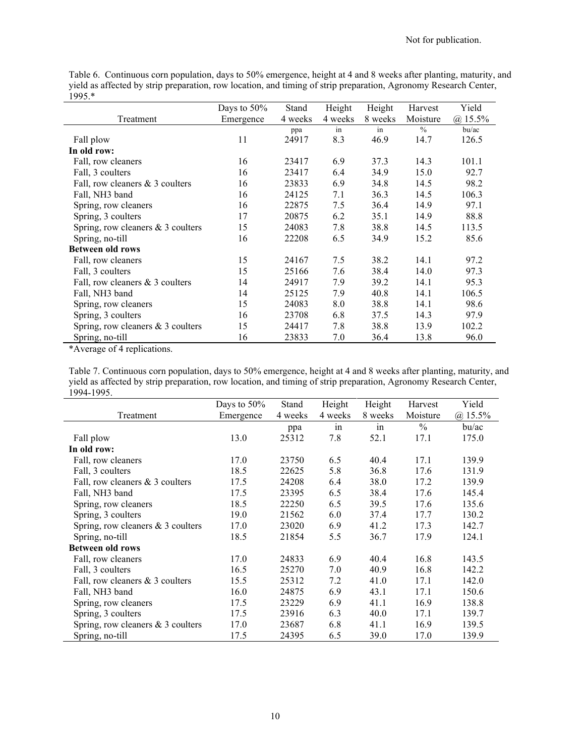Table 6. Continuous corn population, days to 50% emergence, height at 4 and 8 weeks after planting, maturity, and yield as affected by strip preparation, row location, and timing of strip preparation, Agronomy Research Center,  $1995.*$ 

|                                     | Days to $50\%$ | Stand   | Height  | Height  | Harvest       | Yield       |
|-------------------------------------|----------------|---------|---------|---------|---------------|-------------|
| Treatment                           | Emergence      | 4 weeks | 4 weeks | 8 weeks | Moisture      | $(a)$ 15.5% |
|                                     |                | ppa     | in      | in      | $\frac{0}{0}$ | bu/ac       |
| Fall plow                           | 11             | 24917   | 8.3     | 46.9    | 14.7          | 126.5       |
| In old row:                         |                |         |         |         |               |             |
| Fall, row cleaners                  | 16             | 23417   | 6.9     | 37.3    | 14.3          | 101.1       |
| Fall, 3 coulters                    | 16             | 23417   | 6.4     | 34.9    | 15.0          | 92.7        |
| Fall, row cleaners & 3 coulters     | 16             | 23833   | 6.9     | 34.8    | 14.5          | 98.2        |
| Fall, NH3 band                      | 16             | 24125   | 7.1     | 36.3    | 14.5          | 106.3       |
| Spring, row cleaners                | 16             | 22875   | 7.5     | 36.4    | 14.9          | 97.1        |
| Spring, 3 coulters                  | 17             | 20875   | 6.2     | 35.1    | 14.9          | 88.8        |
| Spring, row cleaners & 3 coulters   | 15             | 24083   | 7.8     | 38.8    | 14.5          | 113.5       |
| Spring, no-till                     | 16             | 22208   | 6.5     | 34.9    | 15.2          | 85.6        |
| <b>Between old rows</b>             |                |         |         |         |               |             |
| Fall, row cleaners                  | 15             | 24167   | 7.5     | 38.2    | 14.1          | 97.2        |
| Fall, 3 coulters                    | 15             | 25166   | 7.6     | 38.4    | 14.0          | 97.3        |
| Fall, row cleaners & 3 coulters     | 14             | 24917   | 7.9     | 39.2    | 14.1          | 95.3        |
| Fall, NH3 band                      | 14             | 25125   | 7.9     | 40.8    | 14.1          | 106.5       |
| Spring, row cleaners                | 15             | 24083   | 8.0     | 38.8    | 14.1          | 98.6        |
| Spring, 3 coulters                  | 16             | 23708   | 6.8     | 37.5    | 14.3          | 97.9        |
| Spring, row cleaners $& 3$ coulters | 15             | 24417   | 7.8     | 38.8    | 13.9          | 102.2       |
| Spring, no-till                     | 16             | 23833   | 7.0     | 36.4    | 13.8          | 96.0        |

\*Average of 4 replications.

Table 7. Continuous corn population, days to 50% emergence, height at 4 and 8 weeks after planting, maturity, and yield as affected by strip preparation, row location, and timing of strip preparation, Agronomy Research Center,  $1994-1995.$  $\overline{a}$ 

|                                     | Days to $50\%$ | Stand   | Height  | Height  | Harvest       | Yield       |
|-------------------------------------|----------------|---------|---------|---------|---------------|-------------|
| Treatment                           | Emergence      | 4 weeks | 4 weeks | 8 weeks | Moisture      | $(a)$ 15.5% |
|                                     |                | ppa     | in      | in      | $\frac{0}{0}$ | bu/ac       |
| Fall plow                           | 13.0           | 25312   | 7.8     | 52.1    | 17.1          | 175.0       |
| In old row:                         |                |         |         |         |               |             |
| Fall, row cleaners                  | 17.0           | 23750   | 6.5     | 40.4    | 17.1          | 139.9       |
| Fall, 3 coulters                    | 18.5           | 22625   | 5.8     | 36.8    | 17.6          | 131.9       |
| Fall, row cleaners & 3 coulters     | 17.5           | 24208   | 6.4     | 38.0    | 17.2          | 139.9       |
| Fall, NH3 band                      | 17.5           | 23395   | 6.5     | 38.4    | 17.6          | 145.4       |
| Spring, row cleaners                | 18.5           | 22250   | 6.5     | 39.5    | 17.6          | 135.6       |
| Spring, 3 coulters                  | 19.0           | 21562   | 6.0     | 37.4    | 17.7          | 130.2       |
| Spring, row cleaners $& 3$ coulters | 17.0           | 23020   | 6.9     | 41.2    | 17.3          | 142.7       |
| Spring, no-till                     | 18.5           | 21854   | 5.5     | 36.7    | 17.9          | 124.1       |
| <b>Between old rows</b>             |                |         |         |         |               |             |
| Fall, row cleaners                  | 17.0           | 24833   | 6.9     | 40.4    | 16.8          | 143.5       |
| Fall, 3 coulters                    | 16.5           | 25270   | 7.0     | 40.9    | 16.8          | 142.2       |
| Fall, row cleaners & 3 coulters     | 15.5           | 25312   | 7.2     | 41.0    | 17.1          | 142.0       |
| Fall, NH3 band                      | 16.0           | 24875   | 6.9     | 43.1    | 17.1          | 150.6       |
| Spring, row cleaners                | 17.5           | 23229   | 6.9     | 41.1    | 16.9          | 138.8       |
| Spring, 3 coulters                  | 17.5           | 23916   | 6.3     | 40.0    | 17.1          | 139.7       |
| Spring, row cleaners $& 3$ coulters | 17.0           | 23687   | 6.8     | 41.1    | 16.9          | 139.5       |
| Spring, no-till                     | 17.5           | 24395   | 6.5     | 39.0    | 17.0          | 139.9       |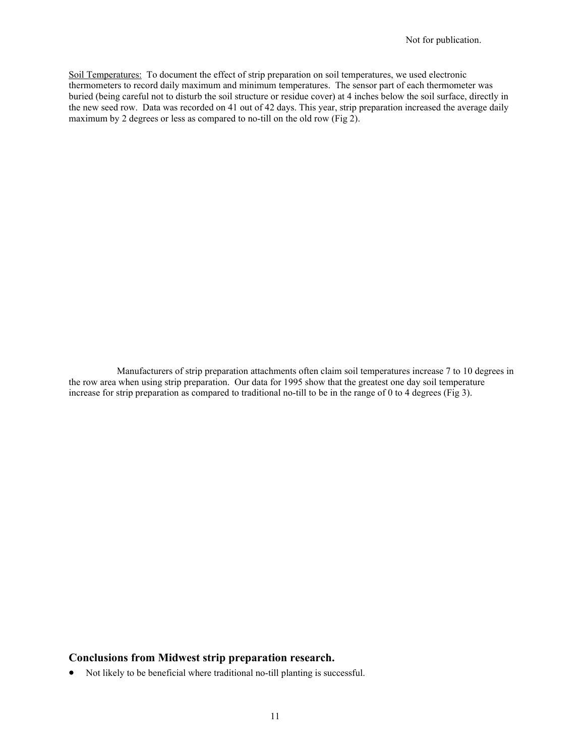Soil Temperatures: To document the effect of strip preparation on soil temperatures, we used electronic thermometers to record daily maximum and minimum temperatures. The sensor part of each thermometer was buried (being careful not to disturb the soil structure or residue cover) at 4 inches below the soil surface, directly in the new seed row. Data was recorded on 41 out of 42 days. This year, strip preparation increased the average daily maximum by 2 degrees or less as compared to no-till on the old row (Fig 2).

Manufacturers of strip preparation attachments often claim soil temperatures increase 7 to 10 degrees in the row area when using strip preparation. Our data for 1995 show that the greatest one day soil temperature increase for strip preparation as compared to traditional no-till to be in the range of 0 to 4 degrees (Fig 3).

### **Conclusions from Midwest strip preparation research.**

• Not likely to be beneficial where traditional no-till planting is successful.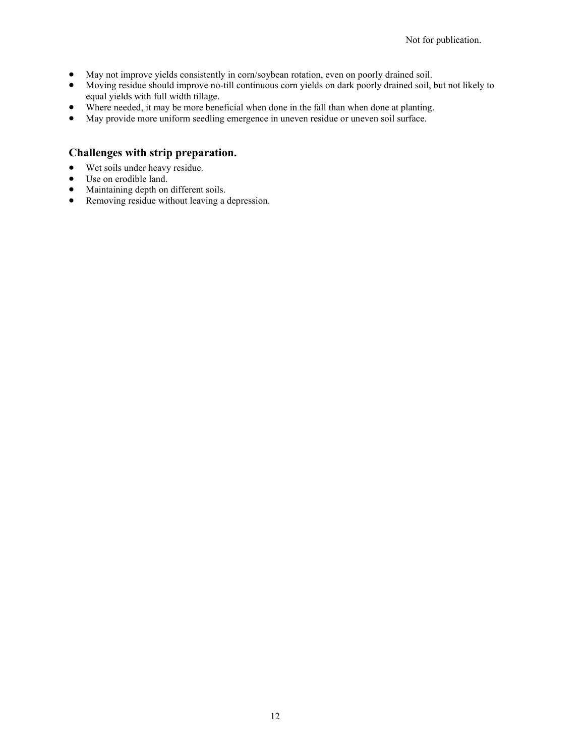- May not improve yields consistently in corn/soybean rotation, even on poorly drained soil.
- Moving residue should improve no-till continuous corn yields on dark poorly drained soil, but not likely to equal yields with full width tillage.
- Where needed, it may be more beneficial when done in the fall than when done at planting.
- May provide more uniform seedling emergence in uneven residue or uneven soil surface.

## **Challenges with strip preparation.**

- Wet soils under heavy residue.
- Use on erodible land.
- Maintaining depth on different soils.
- Removing residue without leaving a depression.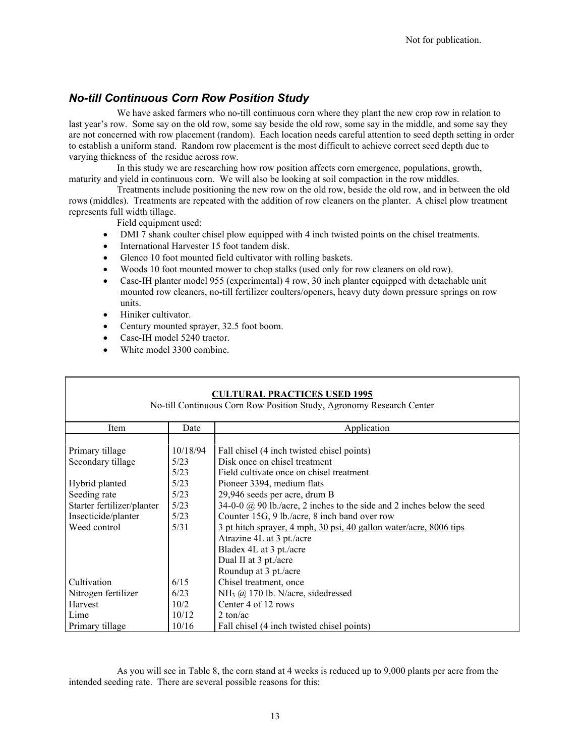# *No-till Continuous Corn Row Position Study*

We have asked farmers who no-till continuous corn where they plant the new crop row in relation to last year's row. Some say on the old row, some say beside the old row, some say in the middle, and some say they are not concerned with row placement (random). Each location needs careful attention to seed depth setting in order to establish a uniform stand. Random row placement is the most difficult to achieve correct seed depth due to varying thickness of the residue across row.

In this study we are researching how row position affects corn emergence, populations, growth, maturity and yield in continuous corn. We will also be looking at soil compaction in the row middles.

Treatments include positioning the new row on the old row, beside the old row, and in between the old rows (middles). Treatments are repeated with the addition of row cleaners on the planter. A chisel plow treatment represents full width tillage.

Field equipment used:

- DMI 7 shank coulter chisel plow equipped with 4 inch twisted points on the chisel treatments.
- International Harvester 15 foot tandem disk.
- Glenco 10 foot mounted field cultivator with rolling baskets.
- Woods 10 foot mounted mower to chop stalks (used only for row cleaners on old row).
- Case-IH planter model 955 (experimental) 4 row, 30 inch planter equipped with detachable unit mounted row cleaners, no-till fertilizer coulters/openers, heavy duty down pressure springs on row units.
- Hiniker cultivator.
- Century mounted sprayer, 32.5 foot boom.
- Case-IH model 5240 tractor.
- White model 3300 combine.

| <b>CULTURAL PRACTICES USED 1995</b><br>No-till Continuous Corn Row Position Study, Agronomy Research Center |                                        |                                                                                                                                                                                                                                                                                                                                                 |  |  |
|-------------------------------------------------------------------------------------------------------------|----------------------------------------|-------------------------------------------------------------------------------------------------------------------------------------------------------------------------------------------------------------------------------------------------------------------------------------------------------------------------------------------------|--|--|
| Item                                                                                                        | Date                                   | Application                                                                                                                                                                                                                                                                                                                                     |  |  |
| Primary tillage<br>Secondary tillage<br>Hybrid planted                                                      | 10/18/94<br>5/23<br>5/23<br>5/23       | Fall chisel (4 inch twisted chisel points)<br>Disk once on chisel treatment<br>Field cultivate once on chisel treatment<br>Pioneer 3394, medium flats                                                                                                                                                                                           |  |  |
| Seeding rate<br>Starter fertilizer/planter<br>Insecticide/planter<br>Weed control                           | 5/23<br>5/23<br>5/23<br>5/31           | 29,946 seeds per acre, drum B<br>34-0-0 $\omega$ 90 lb./acre, 2 inches to the side and 2 inches below the seed<br>Counter 15G, 9 lb./acre, 8 inch band over row<br>3 pt hitch sprayer, 4 mph, 30 psi, 40 gallon water/acre, 8006 tips<br>Atrazine 4L at 3 pt./acre<br>Bladex 4L at 3 pt./acre<br>Dual II at 3 pt./acre<br>Roundup at 3 pt./acre |  |  |
| Cultivation<br>Nitrogen fertilizer<br>Harvest<br>Lime<br>Primary tillage                                    | 6/15<br>6/23<br>10/2<br>10/12<br>10/16 | Chisel treatment, once<br>NH <sub>3</sub> $@$ 170 lb. N/acre, sidedressed<br>Center 4 of 12 rows<br>$2 \text{ ton/ac}$<br>Fall chisel (4 inch twisted chisel points)                                                                                                                                                                            |  |  |

As you will see in Table 8, the corn stand at 4 weeks is reduced up to 9,000 plants per acre from the intended seeding rate. There are several possible reasons for this: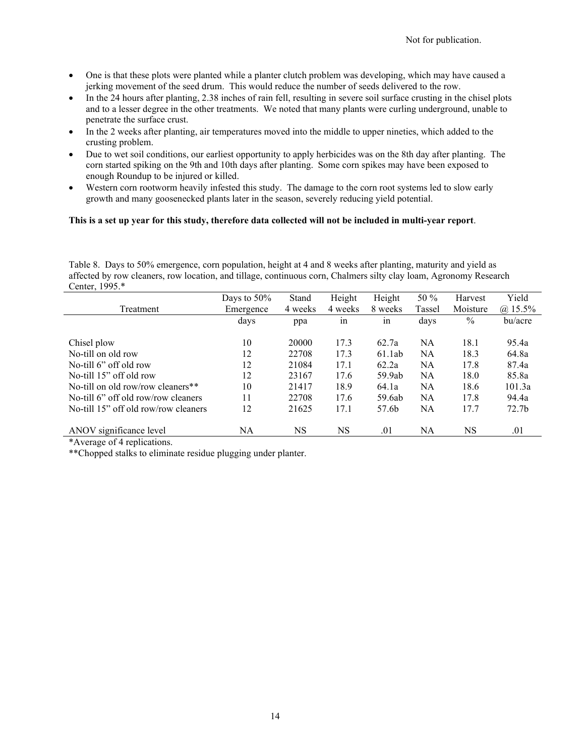- One is that these plots were planted while a planter clutch problem was developing, which may have caused a jerking movement of the seed drum. This would reduce the number of seeds delivered to the row.
- In the 24 hours after planting, 2.38 inches of rain fell, resulting in severe soil surface crusting in the chisel plots and to a lesser degree in the other treatments. We noted that many plants were curling underground, unable to penetrate the surface crust.
- In the 2 weeks after planting, air temperatures moved into the middle to upper nineties, which added to the crusting problem.
- Due to wet soil conditions, our earliest opportunity to apply herbicides was on the 8th day after planting. The corn started spiking on the 9th and 10th days after planting. Some corn spikes may have been exposed to enough Roundup to be injured or killed.
- Western corn rootworm heavily infested this study. The damage to the corn root systems led to slow early growth and many goosenecked plants later in the season, severely reducing yield potential.

### **This is a set up year for this study, therefore data collected will not be included in multi-year report**.

Table 8. Days to 50% emergence, corn population, height at 4 and 8 weeks after planting, maturity and yield as affected by row cleaners, row location, and tillage, continuous corn, Chalmers silty clay loam, Agronomy Research Center, 1995.\*

|                                      | Days to $50\%$ | Stand   | Height  | Height  | 50 %   | Harvest       | Yield             |
|--------------------------------------|----------------|---------|---------|---------|--------|---------------|-------------------|
| Treatment                            | Emergence      | 4 weeks | 4 weeks | 8 weeks | Tassel | Moisture      | $(a)$ 15.5%       |
|                                      | days           | ppa     | in      | in      | days   | $\frac{0}{0}$ | bu/acre           |
| Chisel plow                          | 10             | 20000   | 17.3    | 62.7a   | NA     | 18.1          | 95.4a             |
| No-till on old row                   | 12             | 22708   | 17.3    | 61.1ab  | NA     | 18.3          | 64.8a             |
| No-till 6" off old row               | 12             | 21084   | 17.1    | 62.2a   | NA     | 17.8          | 87.4a             |
| No-till 15" off old row              | 12             | 23167   | 17.6    | 59.9ab  | NA     | 18.0          | 85.8a             |
| No-till on old row/row cleaners**    | 10             | 21417   | 18.9    | 64.1a   | NA     | 18.6          | 101.3a            |
| No-till 6" off old row/row cleaners  | 11             | 22708   | 17.6    | 59.6ab  | NA     | 17.8          | 94.4a             |
| No-till 15" off old row/row cleaners | 12             | 21625   | 17.1    | 57.6b   | NA     | 17.7          | 72.7 <sub>b</sub> |
| ANOV significance level              | NA             | NS      | NS      | .01     | NA     | NS            | .01               |

\*Average of 4 replications.

\*\*Chopped stalks to eliminate residue plugging under planter.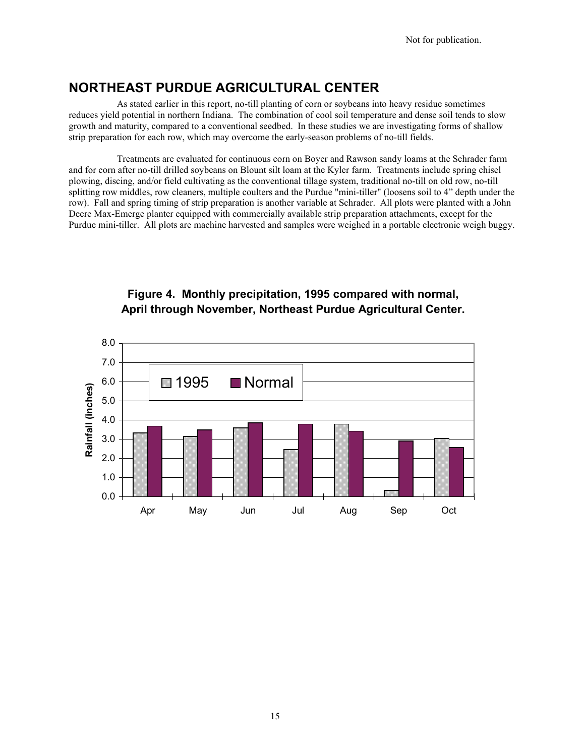# **NORTHEAST PURDUE AGRICULTURAL CENTER**

As stated earlier in this report, no-till planting of corn or soybeans into heavy residue sometimes reduces yield potential in northern Indiana. The combination of cool soil temperature and dense soil tends to slow growth and maturity, compared to a conventional seedbed. In these studies we are investigating forms of shallow strip preparation for each row, which may overcome the early-season problems of no-till fields.

Treatments are evaluated for continuous corn on Boyer and Rawson sandy loams at the Schrader farm and for corn after no-till drilled soybeans on Blount silt loam at the Kyler farm. Treatments include spring chisel plowing, discing, and/or field cultivating as the conventional tillage system, traditional no-till on old row, no-till splitting row middles, row cleaners, multiple coulters and the Purdue "mini-tiller" (loosens soil to 4" depth under the row). Fall and spring timing of strip preparation is another variable at Schrader. All plots were planted with a John Deere Max-Emerge planter equipped with commercially available strip preparation attachments, except for the Purdue mini-tiller. All plots are machine harvested and samples were weighed in a portable electronic weigh buggy.



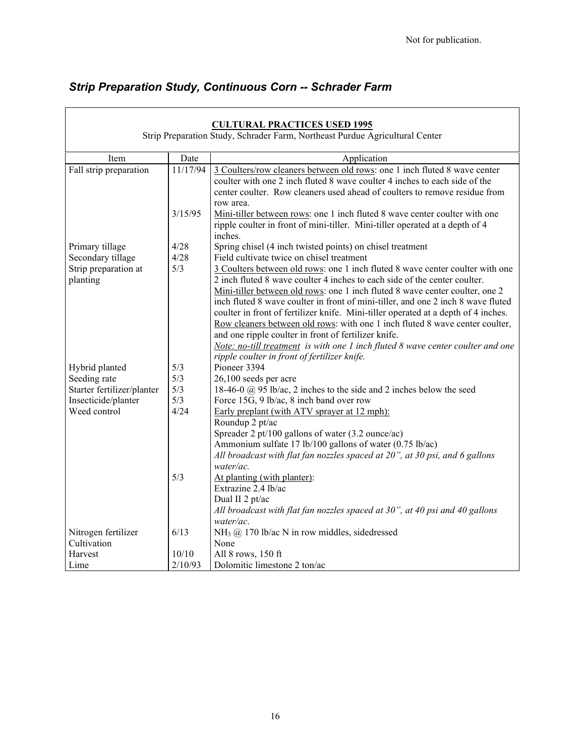$\overline{\phantom{0}}$ 

# *Strip Preparation Study, Continuous Corn -- Schrader Farm*

|                                      |              | <b>CULTURAL PRACTICES USED 1995</b><br>Strip Preparation Study, Schrader Farm, Northeast Purdue Agricultural Center                                                                                                                                                                                                                                                                                                                                                                                                                                                                                                                                                                               |
|--------------------------------------|--------------|---------------------------------------------------------------------------------------------------------------------------------------------------------------------------------------------------------------------------------------------------------------------------------------------------------------------------------------------------------------------------------------------------------------------------------------------------------------------------------------------------------------------------------------------------------------------------------------------------------------------------------------------------------------------------------------------------|
| Item                                 | Date         | Application                                                                                                                                                                                                                                                                                                                                                                                                                                                                                                                                                                                                                                                                                       |
| Fall strip preparation               | 11/17/94     | 3 Coulters/row cleaners between old rows: one 1 inch fluted 8 wave center<br>coulter with one 2 inch fluted 8 wave coulter 4 inches to each side of the<br>center coulter. Row cleaners used ahead of coulters to remove residue from<br>row area.                                                                                                                                                                                                                                                                                                                                                                                                                                                |
|                                      | 3/15/95      | Mini-tiller between rows: one 1 inch fluted 8 wave center coulter with one<br>ripple coulter in front of mini-tiller. Mini-tiller operated at a depth of 4<br>inches.                                                                                                                                                                                                                                                                                                                                                                                                                                                                                                                             |
| Primary tillage<br>Secondary tillage | 4/28<br>4/28 | Spring chisel (4 inch twisted points) on chisel treatment<br>Field cultivate twice on chisel treatment                                                                                                                                                                                                                                                                                                                                                                                                                                                                                                                                                                                            |
| Strip preparation at<br>planting     | 5/3          | 3 Coulters between old rows: one 1 inch fluted 8 wave center coulter with one<br>2 inch fluted 8 wave coulter 4 inches to each side of the center coulter.<br>Mini-tiller between old rows: one 1 inch fluted 8 wave center coulter, one 2<br>inch fluted 8 wave coulter in front of mini-tiller, and one 2 inch 8 wave fluted<br>coulter in front of fertilizer knife. Mini-tiller operated at a depth of 4 inches.<br>Row cleaners between old rows: with one 1 inch fluted 8 wave center coulter,<br>and one ripple coulter in front of fertilizer knife.<br>Note: no-till treatment is with one 1 inch fluted $8$ wave center coulter and one<br>ripple coulter in front of fertilizer knife. |
| Hybrid planted                       | 5/3          | Pioneer 3394                                                                                                                                                                                                                                                                                                                                                                                                                                                                                                                                                                                                                                                                                      |
| Seeding rate                         | 5/3          | 26,100 seeds per acre                                                                                                                                                                                                                                                                                                                                                                                                                                                                                                                                                                                                                                                                             |
| Starter fertilizer/planter           | 5/3          | 18-46-0 $\omega$ 95 lb/ac, 2 inches to the side and 2 inches below the seed                                                                                                                                                                                                                                                                                                                                                                                                                                                                                                                                                                                                                       |
| Insecticide/planter                  | 5/3          | Force 15G, 9 lb/ac, 8 inch band over row                                                                                                                                                                                                                                                                                                                                                                                                                                                                                                                                                                                                                                                          |
| Weed control                         | 4/24         | Early preplant (with ATV sprayer at 12 mph):<br>Roundup 2 pt/ac                                                                                                                                                                                                                                                                                                                                                                                                                                                                                                                                                                                                                                   |
|                                      |              | Spreader 2 pt/100 gallons of water (3.2 ounce/ac)                                                                                                                                                                                                                                                                                                                                                                                                                                                                                                                                                                                                                                                 |
|                                      |              | Ammonium sulfate 17 lb/100 gallons of water (0.75 lb/ac)                                                                                                                                                                                                                                                                                                                                                                                                                                                                                                                                                                                                                                          |
|                                      |              | All broadcast with flat fan nozzles spaced at 20", at 30 psi, and 6 gallons<br>water/ac.                                                                                                                                                                                                                                                                                                                                                                                                                                                                                                                                                                                                          |
|                                      | 5/3          | At planting (with planter):<br>Extrazine 2.4 lb/ac<br>Dual II 2 pt/ac<br>All broadcast with flat fan nozzles spaced at 30", at 40 psi and 40 gallons<br>water/ac.                                                                                                                                                                                                                                                                                                                                                                                                                                                                                                                                 |
| Nitrogen fertilizer                  | 6/13         | NH <sub>3</sub> @ 170 lb/ac N in row middles, sidedressed                                                                                                                                                                                                                                                                                                                                                                                                                                                                                                                                                                                                                                         |
| Cultivation                          |              | None                                                                                                                                                                                                                                                                                                                                                                                                                                                                                                                                                                                                                                                                                              |
| Harvest                              | 10/10        | All 8 rows, 150 ft                                                                                                                                                                                                                                                                                                                                                                                                                                                                                                                                                                                                                                                                                |
| Lime                                 | 2/10/93      | Dolomitic limestone 2 ton/ac                                                                                                                                                                                                                                                                                                                                                                                                                                                                                                                                                                                                                                                                      |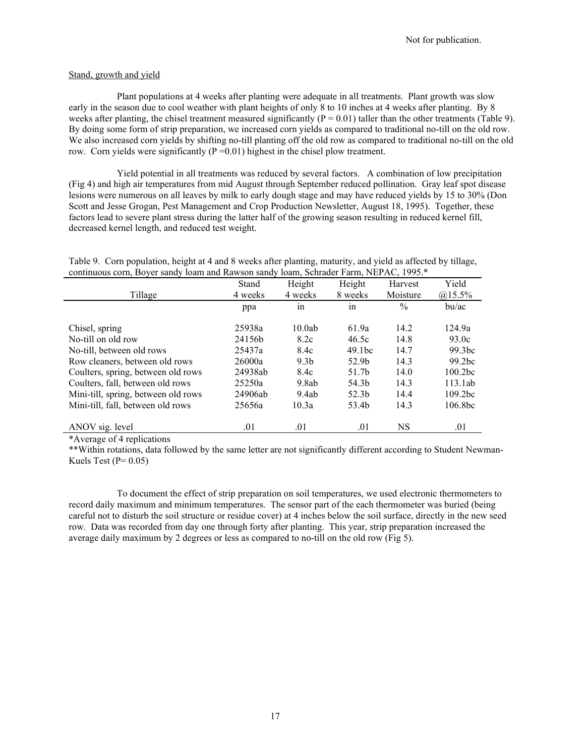#### Stand, growth and yield

Plant populations at 4 weeks after planting were adequate in all treatments. Plant growth was slow early in the season due to cool weather with plant heights of only 8 to 10 inches at 4 weeks after planting. By 8 weeks after planting, the chisel treatment measured significantly  $(P = 0.01)$  taller than the other treatments (Table 9). By doing some form of strip preparation, we increased corn yields as compared to traditional no-till on the old row. We also increased corn yields by shifting no-till planting off the old row as compared to traditional no-till on the old row. Corn yields were significantly  $(P = 0.01)$  highest in the chisel plow treatment.

Yield potential in all treatments was reduced by several factors. A combination of low precipitation (Fig 4) and high air temperatures from mid August through September reduced pollination. Gray leaf spot disease lesions were numerous on all leaves by milk to early dough stage and may have reduced yields by 15 to 30% (Don Scott and Jesse Grogan, Pest Management and Crop Production Newsletter, August 18, 1995). Together, these factors lead to severe plant stress during the latter half of the growing season resulting in reduced kernel fill, decreased kernel length, and reduced test weight.

| Table 9. Corn population, height at 4 and 8 weeks after planting, maturity, and yield as affected by tillage,<br>continuous corn, Boyer sandy loam and Rawson sandy loam, Schrader Farm, NEPAC, 1995.* |       |        |                |       |
|--------------------------------------------------------------------------------------------------------------------------------------------------------------------------------------------------------|-------|--------|----------------|-------|
|                                                                                                                                                                                                        | Stand | Height | Height Harvest | Yield |

|                                     | Stand   | Height           | Height             | Harvest       | Yield               |
|-------------------------------------|---------|------------------|--------------------|---------------|---------------------|
| Tillage                             | 4 weeks | 4 weeks          | 8 weeks            | Moisture      | $@15.5\%$           |
|                                     | ppa     | 1n               | 1n                 | $\frac{0}{0}$ | bu/ac               |
| Chisel, spring                      | 25938a  | 10.0ab           | 61.9a              | 14.2          | 124.9a              |
| No-till on old row                  | 24156b  | 8.2c             | 46.5c              | 14.8          | 93.0c               |
| No-till, between old rows           | 25437a  | 8.4c             | 49.1 <sub>bc</sub> | 14.7          | 99.3 <sub>bc</sub>  |
| Row cleaners, between old rows      | 26000a  | 9.3 <sub>b</sub> | 52.9b              | 14.3          | 99.2bc              |
| Coulters, spring, between old rows  | 24938ab | 8.4c             | 51.7b              | 14.0          | 100.2 <sub>bc</sub> |
| Coulters, fall, between old rows    | 25250a  | 9.8ab            | 54.3b              | 14.3          | 113.1ab             |
| Mini-till, spring, between old rows | 24906ab | 9.4ab            | 52.3 <sub>b</sub>  | 14.4          | 109.2 <sub>bc</sub> |
| Mini-till, fall, between old rows   | 25656a  | 10.3a            | 53.4b              | 14.3          | 106.8 <sub>bc</sub> |
| ANOV sig. level                     | .01     | .01              | .01                | NS            | .01                 |

\*Average of 4 replications

\*\*Within rotations, data followed by the same letter are not significantly different according to Student Newman-Kuels Test ( $P= 0.05$ )

To document the effect of strip preparation on soil temperatures, we used electronic thermometers to record daily maximum and minimum temperatures. The sensor part of the each thermometer was buried (being careful not to disturb the soil structure or residue cover) at 4 inches below the soil surface, directly in the new seed row. Data was recorded from day one through forty after planting. This year, strip preparation increased the average daily maximum by 2 degrees or less as compared to no-till on the old row (Fig 5).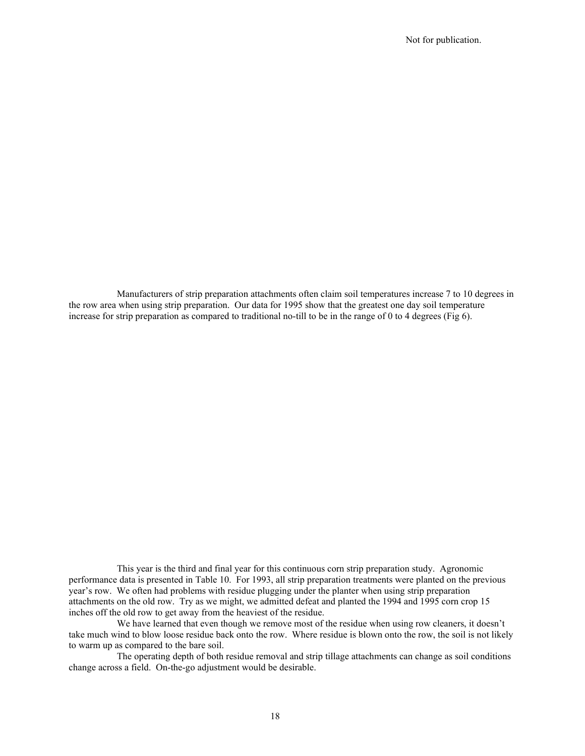Manufacturers of strip preparation attachments often claim soil temperatures increase 7 to 10 degrees in the row area when using strip preparation. Our data for 1995 show that the greatest one day soil temperature increase for strip preparation as compared to traditional no-till to be in the range of 0 to 4 degrees (Fig 6).

This year is the third and final year for this continuous corn strip preparation study. Agronomic performance data is presented in Table 10. For 1993, all strip preparation treatments were planted on the previous year's row. We often had problems with residue plugging under the planter when using strip preparation attachments on the old row. Try as we might, we admitted defeat and planted the 1994 and 1995 corn crop 15 inches off the old row to get away from the heaviest of the residue.

We have learned that even though we remove most of the residue when using row cleaners, it doesn't take much wind to blow loose residue back onto the row. Where residue is blown onto the row, the soil is not likely to warm up as compared to the bare soil.

The operating depth of both residue removal and strip tillage attachments can change as soil conditions change across a field. On-the-go adjustment would be desirable.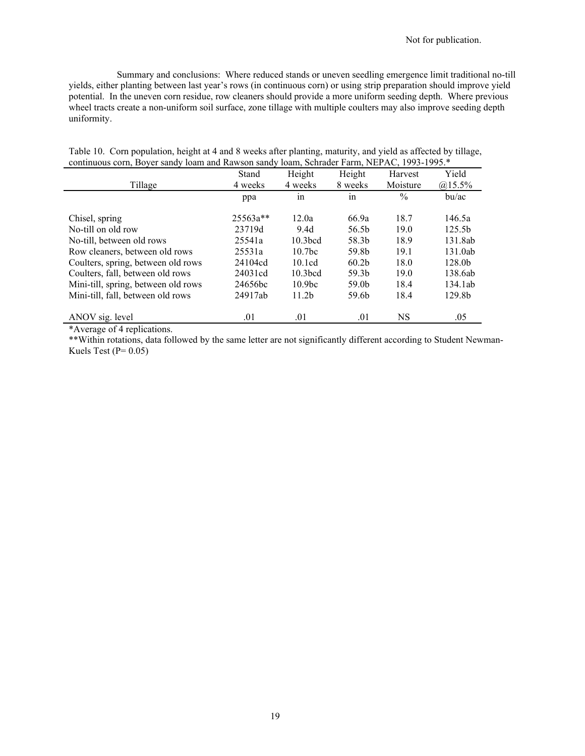Summary and conclusions: Where reduced stands or uneven seedling emergence limit traditional no-till yields, either planting between last year's rows (in continuous corn) or using strip preparation should improve yield potential. In the uneven corn residue, row cleaners should provide a more uniform seeding depth. Where previous wheel tracts create a non-uniform soil surface, zone tillage with multiple coulters may also improve seeding depth uniformity.

| COMMITTED COM, DOVCE SAMOY TOAME AND NAWSON SAMOY TOAM, OCHEQUE FAMIL, INEX A.C., 1999-1999. |          |                     |                   |               |                    |  |
|----------------------------------------------------------------------------------------------|----------|---------------------|-------------------|---------------|--------------------|--|
|                                                                                              | Stand    | Height              | Height            | Harvest       | Yield              |  |
| Tillage                                                                                      | 4 weeks  | 4 weeks             | 8 weeks           | Moisture      | $@15.5\%$          |  |
|                                                                                              | ppa      | 1n                  | 1n                | $\frac{0}{0}$ | bu/ac              |  |
|                                                                                              |          |                     |                   |               |                    |  |
| Chisel, spring                                                                               | 25563a** | 12.0a               | 66.9a             | 18.7          | 146.5a             |  |
| No-till on old row                                                                           | 23719d   | 9.4d                | 56.5b             | 19.0          | 125.5b             |  |
| No-till, between old rows                                                                    | 25541a   | 10.3 <sub>bcd</sub> | 58.3b             | 18.9          | 131.8ab            |  |
| Row cleaners, between old rows                                                               | 25531a   | 10.7 <sub>bc</sub>  | 59.8b             | 19.1          | 131.0ab            |  |
| Coulters, spring, between old rows                                                           | 24104cd  | 10.1cd              | 60.2 <sub>b</sub> | 18.0          | 128.0 <sub>b</sub> |  |
| Coulters, fall, between old rows                                                             | 24031cd  | 10.3 <sub>bcd</sub> | 59.3b             | 19.0          | 138.6ab            |  |
| Mini-till, spring, between old rows                                                          | 24656bc  | 10.9 <sub>bc</sub>  | 59.0 <sub>b</sub> | 18.4          | 134.1ab            |  |
| Mini-till, fall, between old rows                                                            | 24917ab  | 11.2 <sub>b</sub>   | 59.6b             | 18.4          | 129.8b             |  |
|                                                                                              |          |                     |                   |               |                    |  |
| ANOV sig. level                                                                              | .01      | .01                 | .01               | NS            | .05                |  |

Table 10. Corn population, height at 4 and 8 weeks after planting, maturity, and yield as affected by tillage, continuous corn, Boyer sandy loam and Rawson sandy loam, Schrader Farm, NEPAC, 1993-1995.\*

\*Average of 4 replications.

\*\*Within rotations, data followed by the same letter are not significantly different according to Student Newman-Kuels Test ( $P= 0.05$ )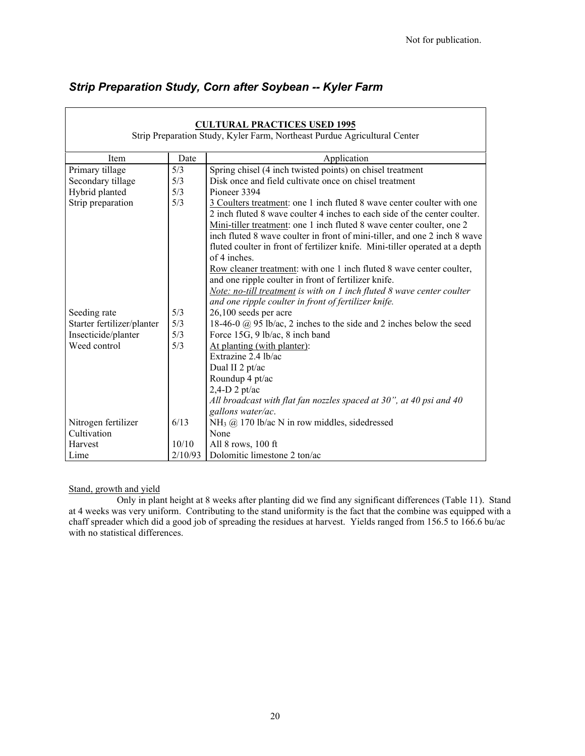| <b>CULTURAL PRACTICES USED 1995</b><br>Strip Preparation Study, Kyler Farm, Northeast Purdue Agricultural Center |         |                                                                                                                                                                                                                                                                                                                                                                                                           |  |  |
|------------------------------------------------------------------------------------------------------------------|---------|-----------------------------------------------------------------------------------------------------------------------------------------------------------------------------------------------------------------------------------------------------------------------------------------------------------------------------------------------------------------------------------------------------------|--|--|
| Item                                                                                                             | Date    | Application                                                                                                                                                                                                                                                                                                                                                                                               |  |  |
| Primary tillage                                                                                                  | 5/3     | Spring chisel (4 inch twisted points) on chisel treatment                                                                                                                                                                                                                                                                                                                                                 |  |  |
|                                                                                                                  | 5/3     | Disk once and field cultivate once on chisel treatment                                                                                                                                                                                                                                                                                                                                                    |  |  |
| Secondary tillage                                                                                                | 5/3     | Pioneer 3394                                                                                                                                                                                                                                                                                                                                                                                              |  |  |
| Hybrid planted                                                                                                   |         |                                                                                                                                                                                                                                                                                                                                                                                                           |  |  |
| Strip preparation                                                                                                | 5/3     | 3 Coulters treatment: one 1 inch fluted 8 wave center coulter with one<br>2 inch fluted 8 wave coulter 4 inches to each side of the center coulter.<br>Mini-tiller treatment: one 1 inch fluted 8 wave center coulter, one 2<br>inch fluted 8 wave coulter in front of mini-tiller, and one 2 inch 8 wave<br>fluted coulter in front of fertilizer knife. Mini-tiller operated at a depth<br>of 4 inches. |  |  |
|                                                                                                                  |         | Row cleaner treatment: with one 1 inch fluted 8 wave center coulter,<br>and one ripple coulter in front of fertilizer knife.<br>Note: no-till treatment is with on 1 inch fluted 8 wave center coulter<br>and one ripple coulter in front of fertilizer knife.                                                                                                                                            |  |  |
| Seeding rate                                                                                                     | 5/3     | 26,100 seeds per acre                                                                                                                                                                                                                                                                                                                                                                                     |  |  |
| Starter fertilizer/planter                                                                                       | 5/3     | 18-46-0 $\omega$ 95 lb/ac, 2 inches to the side and 2 inches below the seed                                                                                                                                                                                                                                                                                                                               |  |  |
| Insecticide/planter                                                                                              | 5/3     | Force 15G, 9 lb/ac, 8 inch band                                                                                                                                                                                                                                                                                                                                                                           |  |  |
| Weed control                                                                                                     | 5/3     | At planting (with planter):                                                                                                                                                                                                                                                                                                                                                                               |  |  |
|                                                                                                                  |         | Extrazine 2.4 lb/ac                                                                                                                                                                                                                                                                                                                                                                                       |  |  |
|                                                                                                                  |         | Dual II 2 pt/ac                                                                                                                                                                                                                                                                                                                                                                                           |  |  |
|                                                                                                                  |         | Roundup 4 pt/ac                                                                                                                                                                                                                                                                                                                                                                                           |  |  |
|                                                                                                                  |         | $2,4$ -D 2 pt/ac                                                                                                                                                                                                                                                                                                                                                                                          |  |  |
|                                                                                                                  |         | All broadcast with flat fan nozzles spaced at 30", at 40 psi and 40<br>gallons water/ac.                                                                                                                                                                                                                                                                                                                  |  |  |
| Nitrogen fertilizer                                                                                              | 6/13    | NH <sub>3</sub> @ 170 lb/ac N in row middles, sidedressed                                                                                                                                                                                                                                                                                                                                                 |  |  |
| Cultivation                                                                                                      |         | None                                                                                                                                                                                                                                                                                                                                                                                                      |  |  |
| Harvest                                                                                                          | 10/10   | All 8 rows, 100 ft                                                                                                                                                                                                                                                                                                                                                                                        |  |  |
| Lime                                                                                                             | 2/10/93 | Dolomitic limestone 2 ton/ac                                                                                                                                                                                                                                                                                                                                                                              |  |  |

# *Strip Preparation Study, Corn after Soybean -- Kyler Farm*

### Stand, growth and yield

Only in plant height at 8 weeks after planting did we find any significant differences (Table 11). Stand at 4 weeks was very uniform. Contributing to the stand uniformity is the fact that the combine was equipped with a chaff spreader which did a good job of spreading the residues at harvest. Yields ranged from 156.5 to 166.6 bu/ac with no statistical differences.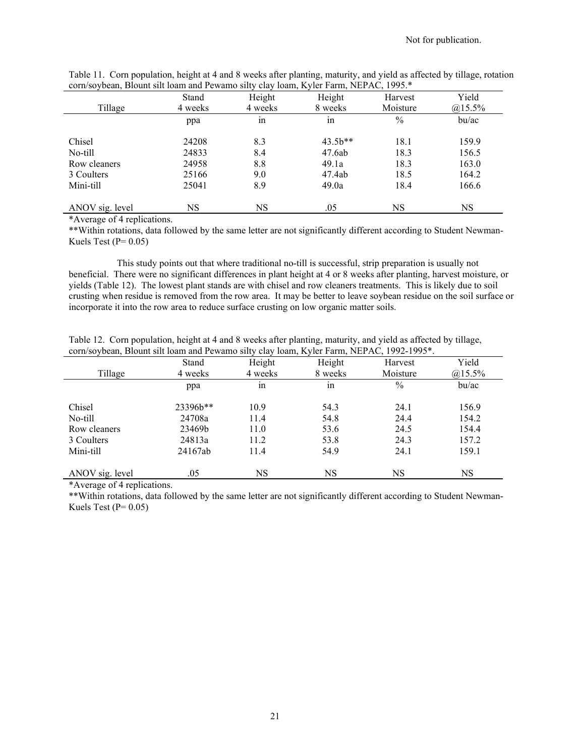|                 | Stand   | Height  | Height    | Harvest  | Yield     |
|-----------------|---------|---------|-----------|----------|-----------|
| Tillage         | 4 weeks | 4 weeks | 8 weeks   | Moisture | $@15.5\%$ |
|                 | ppa     | 1n      | 1n        | $\%$     | bu/ac     |
|                 |         |         |           |          |           |
| Chisel          | 24208   | 8.3     | $43.5b**$ | 18.1     | 159.9     |
| No-till         | 24833   | 8.4     | 47.6ab    | 18.3     | 156.5     |
| Row cleaners    | 24958   | 8.8     | 49.1a     | 18.3     | 163.0     |
| 3 Coulters      | 25166   | 9.0     | 47.4ab    | 18.5     | 164.2     |
| Mini-till       | 25041   | 8.9     | 49.0a     | 18.4     | 166.6     |
| ANOV sig. level | NS      | NS      | .05       | NS       | <b>NS</b> |

Table 11. Corn population, height at 4 and 8 weeks after planting, maturity, and yield as affected by tillage, rotation corn/soybean, Blount silt loam and Pewamo silty clay loam, Kyler Farm, NEPAC, 1995.\*

\*Average of 4 replications.

\*\*Within rotations, data followed by the same letter are not significantly different according to Student Newman-Kuels Test ( $P= 0.05$ )

This study points out that where traditional no-till is successful, strip preparation is usually not beneficial. There were no significant differences in plant height at 4 or 8 weeks after planting, harvest moisture, or yields (Table 12). The lowest plant stands are with chisel and row cleaners treatments. This is likely due to soil crusting when residue is removed from the row area. It may be better to leave soybean residue on the soil surface or incorporate it into the row area to reduce surface crusting on low organic matter soils.

|  | Table 12. Corn population, height at 4 and 8 weeks after planting, maturity, and yield as affected by tillage, |  |  |
|--|----------------------------------------------------------------------------------------------------------------|--|--|
|  | corn/soybean, Blount silt loam and Pewamo silty clay loam, Kyler Farm, NEPAC, 1992-1995*.                      |  |  |

| Tillage         | Stand<br>4 weeks | Height<br>4 weeks | Height<br>8 weeks | Harvest<br>Moisture | Yield<br>$(a)$ 15.5% |
|-----------------|------------------|-------------------|-------------------|---------------------|----------------------|
|                 | ppa              | 1n                | 1n                | $\%$                | bu/ac                |
| Chisel          | 23396b**         | 10.9              | 54.3              | 24.1                | 156.9                |
| No-till         | 24708a           | 11.4              | 54.8              | 24.4                | 154.2                |
| Row cleaners    | 23469b           | 11.0              | 53.6              | 24.5                | 154.4                |
| 3 Coulters      | 24813a           | 11.2              | 53.8              | 24.3                | 157.2                |
| Mini-till       | 24167ab          | 11.4              | 54.9              | 24.1                | 159.1                |
| ANOV sig. level | .05              | NS                | NS                | NS                  | NS                   |

\*Average of 4 replications.

\*\*Within rotations, data followed by the same letter are not significantly different according to Student Newman-Kuels Test ( $P= 0.05$ )